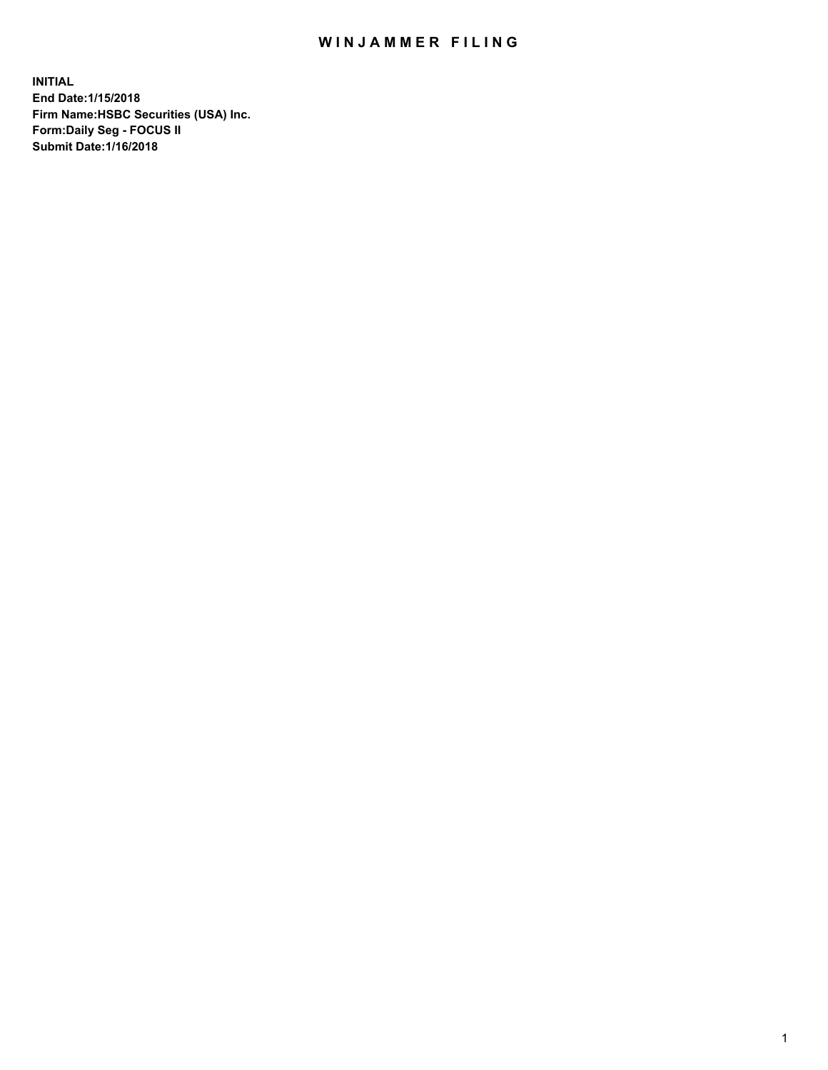## WIN JAMMER FILING

**INITIAL End Date:1/15/2018 Firm Name:HSBC Securities (USA) Inc. Form:Daily Seg - FOCUS II Submit Date:1/16/2018**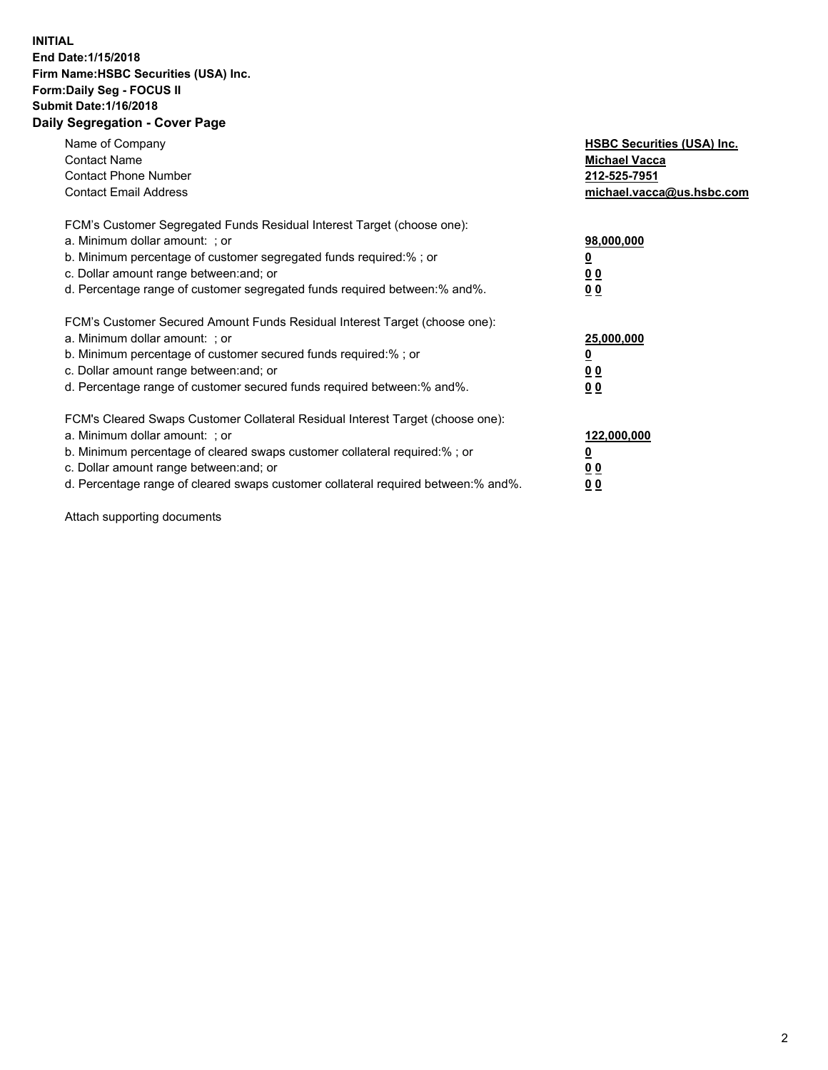## **INITIAL End Date:1/15/2018 Firm Name:HSBC Securities (USA) Inc. Form:Daily Seg - FOCUS II Submit Date:1/16/2018 Daily Segregation - Cover Page**

| Name of Company<br><b>Contact Name</b><br><b>Contact Phone Number</b><br><b>Contact Email Address</b>                                                                                                                                                                                                                         | <b>HSBC Securities (USA) Inc.</b><br><b>Michael Vacca</b><br>212-525-7951<br>michael.vacca@us.hsbc.com |
|-------------------------------------------------------------------------------------------------------------------------------------------------------------------------------------------------------------------------------------------------------------------------------------------------------------------------------|--------------------------------------------------------------------------------------------------------|
| FCM's Customer Segregated Funds Residual Interest Target (choose one):<br>a. Minimum dollar amount: ; or<br>b. Minimum percentage of customer segregated funds required:%; or<br>c. Dollar amount range between: and; or<br>d. Percentage range of customer segregated funds required between: % and %.                       | 98,000,000<br><u>0</u><br>00<br>00                                                                     |
| FCM's Customer Secured Amount Funds Residual Interest Target (choose one):<br>a. Minimum dollar amount: ; or<br>b. Minimum percentage of customer secured funds required:%; or<br>c. Dollar amount range between: and; or<br>d. Percentage range of customer secured funds required between:% and%.                           | 25,000,000<br><u>00</u><br>0 <sub>0</sub>                                                              |
| FCM's Cleared Swaps Customer Collateral Residual Interest Target (choose one):<br>a. Minimum dollar amount: ; or<br>b. Minimum percentage of cleared swaps customer collateral required:%; or<br>c. Dollar amount range between: and; or<br>d. Percentage range of cleared swaps customer collateral required between:% and%. | 122,000,000<br><u>0</u><br><u>00</u><br><u>00</u>                                                      |

Attach supporting documents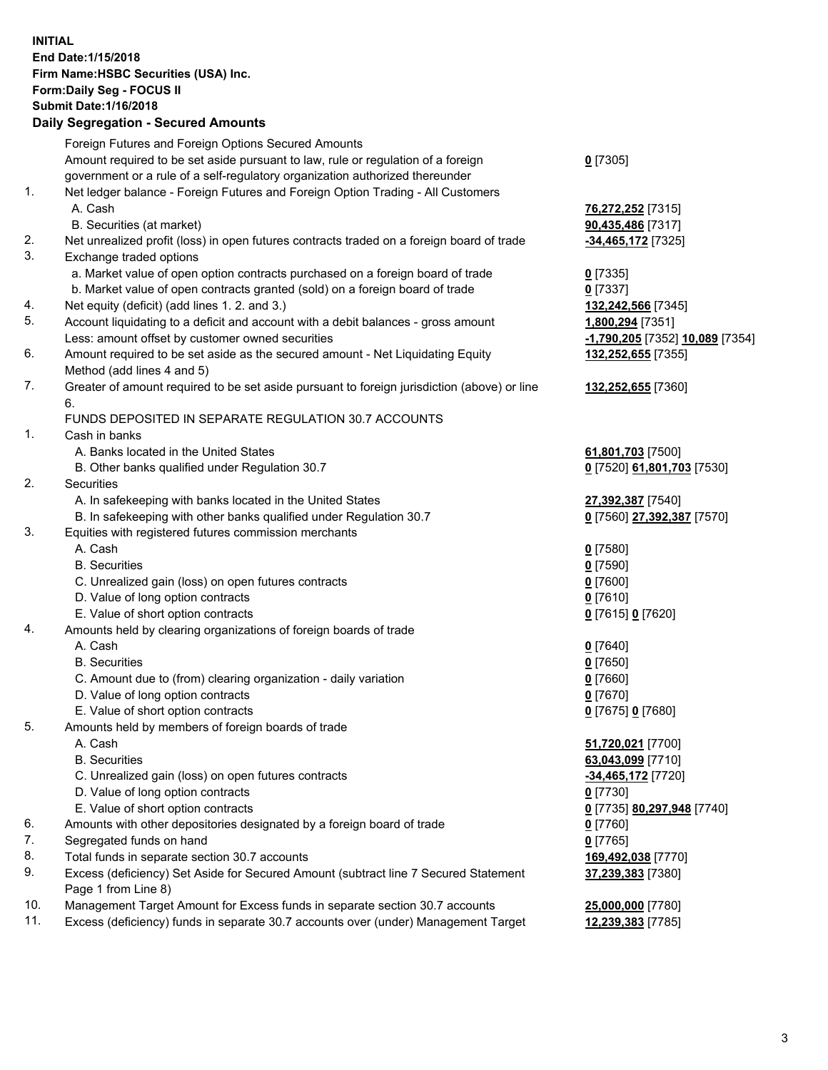**INITIAL End Date:1/15/2018 Firm Name:HSBC Securities (USA) Inc. Form:Daily Seg - FOCUS II Submit Date:1/16/2018 Daily Segregation - Secured Amounts**

Foreign Futures and Foreign Options Secured Amounts Amount required to be set aside pursuant to law, rule or regulation of a foreign government or a rule of a self-regulatory organization authorized thereunder **0** [7305] 1. Net ledger balance - Foreign Futures and Foreign Option Trading - All Customers A. Cash **76,272,252** [7315] B. Securities (at market) **90,435,486** [7317] 2. Net unrealized profit (loss) in open futures contracts traded on a foreign board of trade **-34,465,172** [7325] 3. Exchange traded options a. Market value of open option contracts purchased on a foreign board of trade **0** [7335] b. Market value of open contracts granted (sold) on a foreign board of trade **0** [7337] 4. Net equity (deficit) (add lines 1. 2. and 3.) **132,242,566** [7345] 5. Account liquidating to a deficit and account with a debit balances - gross amount **1,800,294** [7351] Less: amount offset by customer owned securities **-1,790,205** [7352] **10,089** [7354] 6. Amount required to be set aside as the secured amount - Net Liquidating Equity Method (add lines 4 and 5) **132,252,655** [7355] 7. Greater of amount required to be set aside pursuant to foreign jurisdiction (above) or line 6. **132,252,655** [7360] FUNDS DEPOSITED IN SEPARATE REGULATION 30.7 ACCOUNTS 1. Cash in banks A. Banks located in the United States **61,801,703** [7500] B. Other banks qualified under Regulation 30.7 **0** [7520] **61,801,703** [7530] 2. Securities A. In safekeeping with banks located in the United States **27,392,387** [7540] B. In safekeeping with other banks qualified under Regulation 30.7 **0** [7560] **27,392,387** [7570] 3. Equities with registered futures commission merchants A. Cash **0** [7580] B. Securities **0** [7590] C. Unrealized gain (loss) on open futures contracts **0** [7600] D. Value of long option contracts **0** [7610] E. Value of short option contracts **0** [7615] **0** [7620] 4. Amounts held by clearing organizations of foreign boards of trade A. Cash **0** [7640] B. Securities **0** [7650] C. Amount due to (from) clearing organization - daily variation **0** [7660] D. Value of long option contracts **0** [7670] E. Value of short option contracts **0** [7675] **0** [7680] 5. Amounts held by members of foreign boards of trade A. Cash **51,720,021** [7700] B. Securities **63,043,099** [7710] C. Unrealized gain (loss) on open futures contracts **-34,465,172** [7720] D. Value of long option contracts **0** [7730] E. Value of short option contracts **0** [7735] **80,297,948** [7740] 6. Amounts with other depositories designated by a foreign board of trade **0** [7760] 7. Segregated funds on hand **0** [7765] 8. Total funds in separate section 30.7 accounts **169,492,038** [7770] 9. Excess (deficiency) Set Aside for Secured Amount (subtract line 7 Secured Statement Page 1 from Line 8) **37,239,383** [7380] 10. Management Target Amount for Excess funds in separate section 30.7 accounts **25,000,000** [7780] 11. Excess (deficiency) funds in separate 30.7 accounts over (under) Management Target **12,239,383** [7785]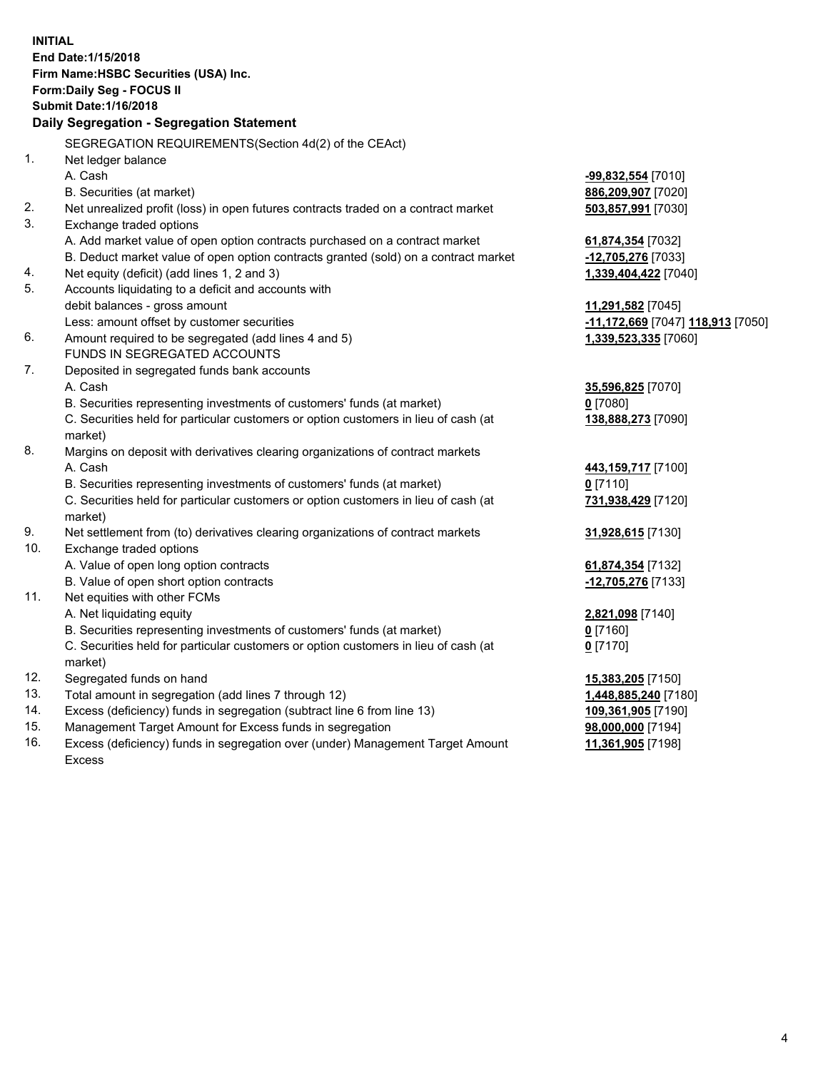**INITIAL End Date:1/15/2018 Firm Name:HSBC Securities (USA) Inc. Form:Daily Seg - FOCUS II Submit Date:1/16/2018 Daily Segregation - Segregation Statement** SEGREGATION REQUIREMENTS(Section 4d(2) of the CEAct) 1. Net ledger balance A. Cash **-99,832,554** [7010] B. Securities (at market) **886,209,907** [7020] 2. Net unrealized profit (loss) in open futures contracts traded on a contract market **503,857,991** [7030] 3. Exchange traded options A. Add market value of open option contracts purchased on a contract market **61,874,354** [7032] B. Deduct market value of open option contracts granted (sold) on a contract market **-12,705,276** [7033] 4. Net equity (deficit) (add lines 1, 2 and 3) **1,339,404,422** [7040] 5. Accounts liquidating to a deficit and accounts with debit balances - gross amount **11,291,582** [7045] Less: amount offset by customer securities **-11,172,669** [7047] **118,913** [7050] 6. Amount required to be segregated (add lines 4 and 5) **1,339,523,335** [7060] FUNDS IN SEGREGATED ACCOUNTS 7. Deposited in segregated funds bank accounts A. Cash **35,596,825** [7070] B. Securities representing investments of customers' funds (at market) **0** [7080] C. Securities held for particular customers or option customers in lieu of cash (at market) **138,888,273** [7090] 8. Margins on deposit with derivatives clearing organizations of contract markets A. Cash **443,159,717** [7100] B. Securities representing investments of customers' funds (at market) **0** [7110] C. Securities held for particular customers or option customers in lieu of cash (at market) **731,938,429** [7120] 9. Net settlement from (to) derivatives clearing organizations of contract markets **31,928,615** [7130] 10. Exchange traded options A. Value of open long option contracts **61,874,354** [7132] B. Value of open short option contracts **-12,705,276** [7133] 11. Net equities with other FCMs A. Net liquidating equity **2,821,098** [7140] B. Securities representing investments of customers' funds (at market) **0** [7160] C. Securities held for particular customers or option customers in lieu of cash (at market) **0** [7170] 12. Segregated funds on hand **15,383,205** [7150] 13. Total amount in segregation (add lines 7 through 12) **1,448,885,240** [7180] 14. Excess (deficiency) funds in segregation (subtract line 6 from line 13) **109,361,905** [7190] 15. Management Target Amount for Excess funds in segregation **98,000,000** [7194]

16. Excess (deficiency) funds in segregation over (under) Management Target Amount Excess

**11,361,905** [7198]